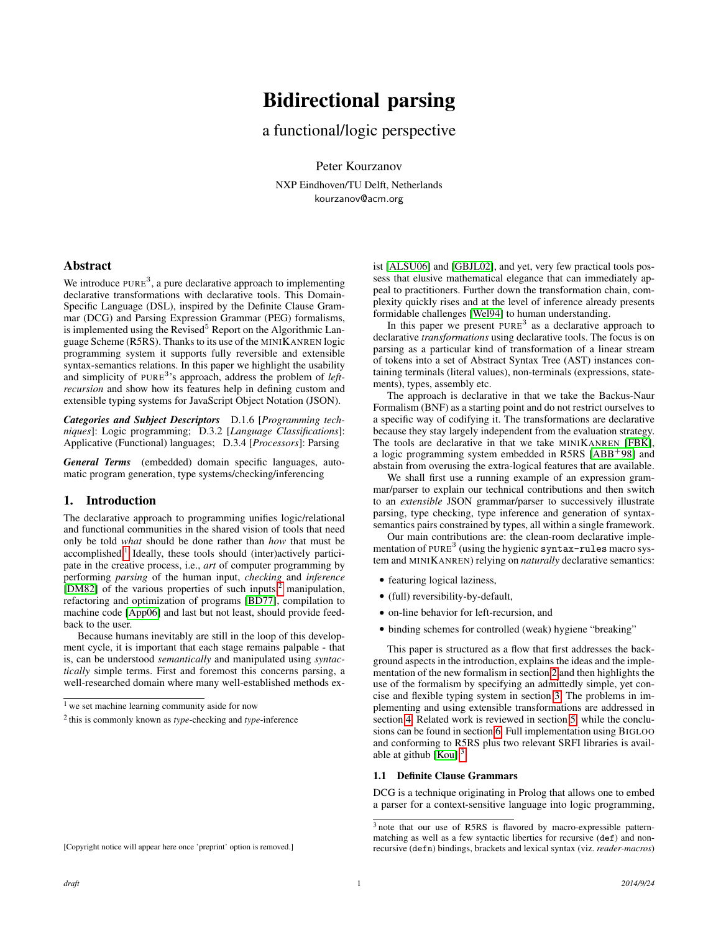# Bidirectional parsing

a functional/logic perspective

Peter Kourzanov NXP Eindhoven/TU Delft, Netherlands kourzanov@acm.org

## Abstract

We introduce  $PURE<sup>3</sup>$ , a pure declarative approach to implementing declarative transformations with declarative tools. This Domain-Specific Language (DSL), inspired by the Definite Clause Grammar (DCG) and Parsing Expression Grammar (PEG) formalisms, is implemented using the Revised<sup>5</sup> Report on the Algorithmic Language Scheme (R5RS). Thanks to its use of the MINIKANREN logic programming system it supports fully reversible and extensible syntax-semantics relations. In this paper we highlight the usability and simplicity of PURE<sup>3</sup>'s approach, address the problem of *leftrecursion* and show how its features help in defining custom and extensible typing systems for JavaScript Object Notation (JSON).

*Categories and Subject Descriptors* D.1.6 [*Programming techniques*]: Logic programming; D.3.2 [*Language Classifications*]: Applicative (Functional) languages; D.3.4 [*Processors*]: Parsing

*General Terms* (embedded) domain specific languages, automatic program generation, type systems/checking/inferencing

### 1. Introduction

The declarative approach to programming unifies logic/relational and functional communities in the shared vision of tools that need only be told *what* should be done rather than *how* that must be accomplished.<sup>[1](#page-0-0)</sup> Ideally, these tools should (inter)actively participate in the creative process, i.e., *art* of computer programming by performing *parsing* of the human input, *checking* and *inference* [\[DM82\]](#page-8-0) of the various properties of such inputs, $\frac{2}{3}$  $\frac{2}{3}$  $\frac{2}{3}$  manipulation, refactoring and optimization of programs [\[BD77\]](#page-8-1), compilation to machine code [\[App06\]](#page-8-2) and last but not least, should provide feedback to the user.

Because humans inevitably are still in the loop of this development cycle, it is important that each stage remains palpable - that is, can be understood *semantically* and manipulated using *syntactically* simple terms. First and foremost this concerns parsing, a well-researched domain where many well-established methods exist [\[ALSU06\]](#page-8-3) and [\[GBJL02\]](#page-9-0), and yet, very few practical tools possess that elusive mathematical elegance that can immediately appeal to practitioners. Further down the transformation chain, complexity quickly rises and at the level of inference already presents formidable challenges [\[Wel94\]](#page-9-1) to human understanding.

In this paper we present PURE<sup>3</sup> as a declarative approach to declarative *transformations* using declarative tools. The focus is on parsing as a particular kind of transformation of a linear stream of tokens into a set of Abstract Syntax Tree (AST) instances containing terminals (literal values), non-terminals (expressions, statements), types, assembly etc.

The approach is declarative in that we take the Backus-Naur Formalism (BNF) as a starting point and do not restrict ourselves to a specific way of codifying it. The transformations are declarative because they stay largely independent from the evaluation strategy. The tools are declarative in that we take MINIKANREN [\[FBK\]](#page-8-4), a logic programming system embedded in R5RS [\[ABB](#page-8-5)<sup>+</sup>98] and abstain from overusing the extra-logical features that are available.

We shall first use a running example of an expression grammar/parser to explain our technical contributions and then switch to an *extensible* JSON grammar/parser to successively illustrate parsing, type checking, type inference and generation of syntaxsemantics pairs constrained by types, all within a single framework.

Our main contributions are: the clean-room declarative implementation of PURE<sup>3</sup> (using the hygienic syntax-rules macro system and MINIKANREN) relying on *naturally* declarative semantics:

- featuring logical laziness,
- (full) reversibility-by-default,
- on-line behavior for left-recursion, and
- binding schemes for controlled (weak) hygiene "breaking"

This paper is structured as a flow that first addresses the background aspects in the introduction, explains the ideas and the implementation of the new formalism in section [2](#page-1-0) and then highlights the use of the formalism by specifying an admittedly simple, yet concise and flexible typing system in section [3.](#page-5-0) The problems in implementing and using extensible transformations are addressed in section [4.](#page-6-0) Related work is reviewed in section [5,](#page-7-0) while the conclusions can be found in section [6.](#page-8-6) Full implementation using BIGLOO and conforming to R5RS plus two relevant SRFI libraries is available at github  $[Kou].$  $[Kou].$ <sup>[3](#page-0-2)</sup>

#### 1.1 Definite Clause Grammars

DCG is a technique originating in Prolog that allows one to embed a parser for a context-sensitive language into logic programming,

<span id="page-0-0"></span><sup>&</sup>lt;sup>1</sup> we set machine learning community aside for now

<span id="page-0-1"></span><sup>2</sup> this is commonly known as *type*-checking and *type*-inference

<span id="page-0-2"></span><sup>3</sup> note that our use of R5RS is flavored by macro-expressible patternmatching as well as a few syntactic liberties for recursive (def) and nonrecursive (defn) bindings, brackets and lexical syntax (viz. *reader-macros*)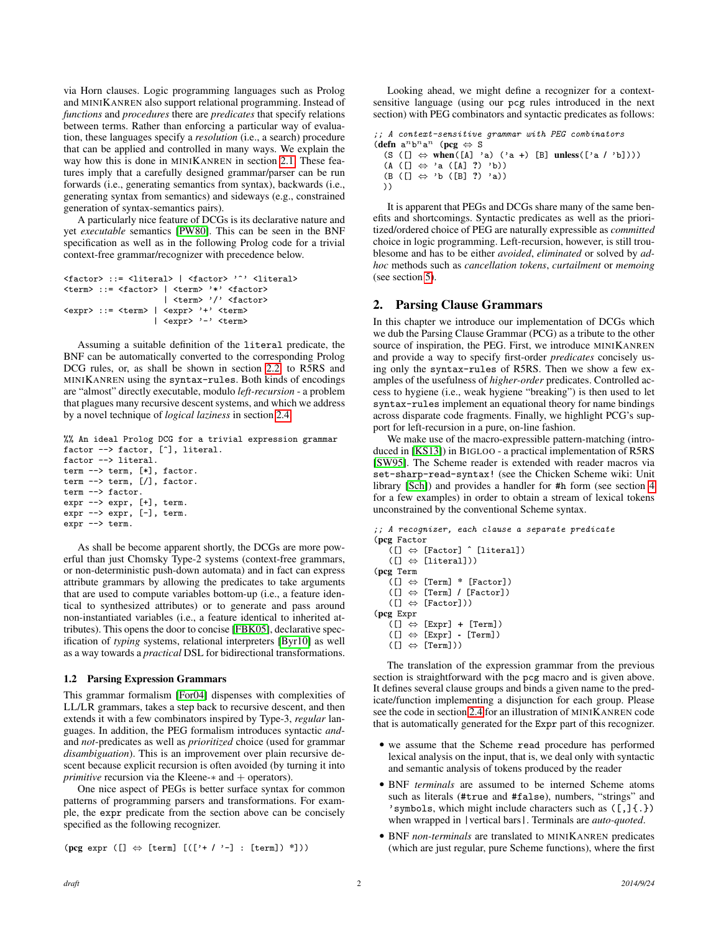via Horn clauses. Logic programming languages such as Prolog and MINIKANREN also support relational programming. Instead of *functions* and *procedures* there are *predicates* that specify relations between terms. Rather than enforcing a particular way of evaluation, these languages specify a *resolution* (i.e., a search) procedure that can be applied and controlled in many ways. We explain the way how this is done in MINIKANREN in section [2.1.](#page-2-0) These features imply that a carefully designed grammar/parser can be run forwards (i.e., generating semantics from syntax), backwards (i.e., generating syntax from semantics) and sideways (e.g., constrained generation of syntax-semantics pairs).

A particularly nice feature of DCGs is its declarative nature and yet *executable* semantics [\[PW80\]](#page-9-3). This can be seen in the BNF specification as well as in the following Prolog code for a trivial context-free grammar/recognizer with precedence below.

```
<factor> ::= <literal> | <factor> '^' <literal>
<term> ::= <factor> | <term> '*' <factor>
                    | <term> '/' <factor>
<expr> ::= <term> | <expr> '+' <term>
                  | <expr> '-' <term>
```
Assuming a suitable definition of the literal predicate, the BNF can be automatically converted to the corresponding Prolog DCG rules, or, as shall be shown in section [2.2,](#page-2-1) to R5RS and MINIKANREN using the syntax-rules. Both kinds of encodings are "almost" directly executable, modulo *left-recursion* - a problem that plagues many recursive descent systems, and which we address by a novel technique of *logical laziness* in section [2.4.](#page-4-0)

```
%% An ideal Prolog DCG for a trivial expression grammar
factor --> factor, [^], literal.
factor --> literal.
term --> term, [*], factor.
term --> term, [/], factor.
term --> factor.
expr --> expr, [+], term.
expr --> expr, [-], term.
expr --> term.
```
As shall be become apparent shortly, the DCGs are more powerful than just Chomsky Type-2 systems (context-free grammars, or non-deterministic push-down automata) and in fact can express attribute grammars by allowing the predicates to take arguments that are used to compute variables bottom-up (i.e., a feature identical to synthesized attributes) or to generate and pass around non-instantiated variables (i.e., a feature identical to inherited attributes). This opens the door to concise [\[FBK05\]](#page-8-7), declarative specification of *typing* systems, relational interpreters [\[Byr10\]](#page-8-8) as well as a way towards a *practical* DSL for bidirectional transformations.

#### <span id="page-1-1"></span>1.2 Parsing Expression Grammars

This grammar formalism [\[For04\]](#page-9-4) dispenses with complexities of LL/LR grammars, takes a step back to recursive descent, and then extends it with a few combinators inspired by Type-3, *regular* languages. In addition, the PEG formalism introduces syntactic *and*and *not*-predicates as well as *prioritized* choice (used for grammar *disambiguation*). This is an improvement over plain recursive descent because explicit recursion is often avoided (by turning it into *primitive* recursion via the Kleene-∗ and + operators).

One nice aspect of PEGs is better surface syntax for common patterns of programming parsers and transformations. For example, the expr predicate from the section above can be concisely specified as the following recognizer.

```
(\text{pcg expr } ([] \Leftrightarrow [\text{term}] [([?+/'] -] : [\text{term}]) ^*]))
```
Looking ahead, we might define a recognizer for a contextsensitive language (using our pcg rules introduced in the next section) with PEG combinators and syntactic predicates as follows:

```
;; A context-sensitive grammar with PEG combinators
(\text{defn } a^n b^n a^n \text{ (pcg } \Leftrightarrow S)(S ([] \Leftrightarrow when([A] 'a) ('a +) [B] unless(['a / 'b])))
  (A ([] \Leftrightarrow 'a ([A] ?) 'b))(B ([] ⇔ 'b ([B] ?) 'a))
  ))
```
It is apparent that PEGs and DCGs share many of the same benefits and shortcomings. Syntactic predicates as well as the prioritized/ordered choice of PEG are naturally expressible as *committed* choice in logic programming. Left-recursion, however, is still troublesome and has to be either *avoided*, *eliminated* or solved by *adhoc* methods such as *cancellation tokens*, *curtailment* or *memoing* (see section [5\)](#page-7-0).

## <span id="page-1-0"></span>2. Parsing Clause Grammars

In this chapter we introduce our implementation of DCGs which we dub the Parsing Clause Grammar (PCG) as a tribute to the other source of inspiration, the PEG. First, we introduce MINIKANREN and provide a way to specify first-order *predicates* concisely using only the syntax-rules of R5RS. Then we show a few examples of the usefulness of *higher-order* predicates. Controlled access to hygiene (i.e., weak hygiene "breaking") is then used to let syntax-rules implement an equational theory for name bindings across disparate code fragments. Finally, we highlight PCG's support for left-recursion in a pure, on-line fashion.

We make use of the macro-expressible pattern-matching (introduced in [\[KS13\]](#page-9-5)) in BIGLOO - a practical implementation of R5RS [\[SW95\]](#page-9-6). The Scheme reader is extended with reader macros via set-sharp-read-syntax! (see the Chicken Scheme wiki: Unit library [\[Sch\]](#page-9-7)) and provides a handler for #h form (see section [4](#page-6-0) for a few examples) in order to obtain a stream of lexical tokens unconstrained by the conventional Scheme syntax.

```
;; A recognizer, each clause a separate predicate
(pcg Factor
    \widetilde{L}([x] \Leftrightarrow [Factor] \hat{\ } [literal])
    ([] \Leftrightarrow [literal]))(pcg Term
    \widetilde{\mathrm{I}}\left( \begin{smallmatrix} 1 \end{smallmatrix} \right) \Leftrightarrow \mathrm{[Term]} * \mathrm{[Factor]})([] \Leftrightarrow [Term] / [Factor])([] \Leftrightarrow [Factor])(pcg Expr
    ([] \Leftrightarrow [Expr] + [Term])([] \Leftrightarrow [Expr] - [Term])([] \Leftrightarrow [Term])The translation of the expression grammar from the previous
```
section is straightforward with the pcg macro and is given above. It defines several clause groups and binds a given name to the predicate/function implementing a disjunction for each group. Please see the code in section [2.4](#page-4-0) for an illustration of MINIKANREN code that is automatically generated for the Expr part of this recognizer.

- we assume that the Scheme read procedure has performed lexical analysis on the input, that is, we deal only with syntactic and semantic analysis of tokens produced by the reader
- BNF *terminals* are assumed to be interned Scheme atoms such as literals (#true and #false), numbers, "strings" and 'symbols, which might include characters such as  $([,](.)$ when wrapped in |vertical bars|. Terminals are *auto-quoted*.
- BNF *non-terminals* are translated to MINIKANREN predicates (which are just regular, pure Scheme functions), where the first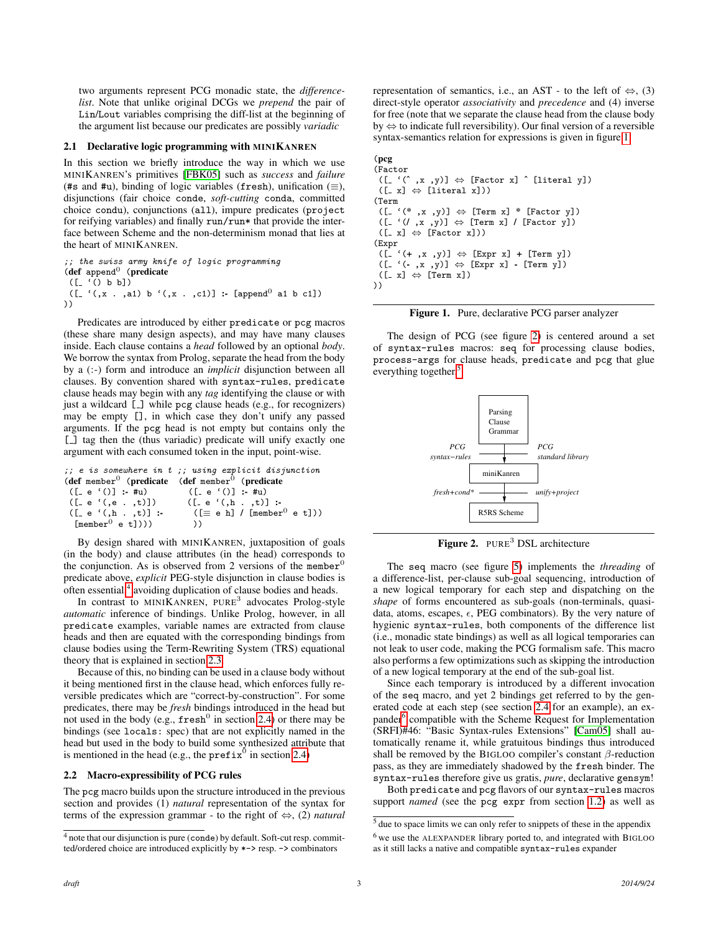two arguments represent PCG monadic state, the *differencelist*. Note that unlike original DCGs we *prepend* the pair of Lin/Lout variables comprising the diff-list at the beginning of the argument list because our predicates are possibly *variadic*

## <span id="page-2-0"></span>2.1 Declarative logic programming with MINIKANREN

In this section we briefly introduce the way in which we use MINIKANREN's primitives [\[FBK05\]](#page-8-7) such as *success* and *failure* (#s and #u), binding of logic variables (fresh), unification ( $\equiv$ ), disjunctions (fair choice conde, *soft-cutting* conda, committed choice condu), conjunctions (all), impure predicates (project for reifying variables) and finally run/run\* that provide the interface between Scheme and the non-determinism monad that lies at the heart of MINIKANREN.

;; the swiss army knife of logic programming  $(\text{def } append^0 \text{ (predicate }$  $([- ( ) b b])$  $([- '(, x , a1) b ' (, x , c1)] : [append<sup>0</sup> al b c1])$ ))

Predicates are introduced by either predicate or pcg macros (these share many design aspects), and may have many clauses inside. Each clause contains a *head* followed by an optional *body*. We borrow the syntax from Prolog, separate the head from the body by a (:-) form and introduce an *implicit* disjunction between all clauses. By convention shared with syntax-rules, predicate clause heads may begin with any *tag* identifying the clause or with just a wildcard [\_] while pcg clause heads (e.g., for recognizers) may be empty [], in which case they don't unify any passed arguments. If the pcg head is not empty but contains only the [\_] tag then the (thus variadic) predicate will unify exactly one argument with each consumed token in the input, point-wise.

```
;; e is somewhere in t ;; using explicit disjunction
(def member<sup>0</sup> (predicate (def member<sup>0</sup> (predicate ([-e'(1)]: \#u) ([-e'(0)] : \#u)
                                          ([_ e '()] :- #u)<br>([_ e '(,h . ,t)] :-
 ([_e '(,e . ,t)])<br>([_e '(,h . ,t)] :-
                                            ([\equiv e \hbox{h}] / [\text{member}^{0} \hbox{e t}]))
   [member<sup>0</sup> e t])) ))
```
By design shared with MINIKANREN, juxtaposition of goals (in the body) and clause attributes (in the head) corresponds to the conjunction. As is observed from 2 versions of the member<sup> $\epsilon$ </sup> predicate above, *explicit* PEG-style disjunction in clause bodies is often essential,<sup>[4](#page-2-2)</sup> avoiding duplication of clause bodies and heads.

In contrast to MINIKANREN, PURE<sup>3</sup> advocates Prolog-style *automatic* inference of bindings. Unlike Prolog, however, in all predicate examples, variable names are extracted from clause heads and then are equated with the corresponding bindings from clause bodies using the Term-Rewriting System (TRS) equational theory that is explained in section [2.3.](#page-3-0)

Because of this, no binding can be used in a clause body without it being mentioned first in the clause head, which enforces fully reversible predicates which are "correct-by-construction". For some predicates, there may be *fresh* bindings introduced in the head but not used in the body (e.g.,  ${\tt fresh}^0$  in section [2.4\)](#page-4-0) or there may be bindings (see locals: spec) that are not explicitly named in the head but used in the body to build some synthesized attribute that is mentioned in the head (e.g., the  $\text{prefix}^0$  in section [2.4\)](#page-4-0)

#### <span id="page-2-1"></span>2.2 Macro-expressibility of PCG rules

The pcg macro builds upon the structure introduced in the previous section and provides (1) *natural* representation of the syntax for terms of the expression grammar - to the right of ⇔, (2) *natural* representation of semantics, i.e., an AST - to the left of  $\Leftrightarrow$ , (3) direct-style operator *associativity* and *precedence* and (4) inverse for free (note that we separate the clause head from the clause body by ⇔ to indicate full reversibility). Our final version of a reversible syntax-semantics relation for expressions is given in figure [1.](#page-2-3)

#### (pcg

```
(Factor
 ([- ' ( ^ , x , y )] \Leftrightarrow [Factor x] \hat{ } [literal y])
 ([-x] \Leftrightarrow [literal x]))(Term
 ([- '(* , x , y)] \Leftrightarrow [Term x] * [Factor y])([- '(', x', y')] \Leftrightarrow [Term x] / [Factor y])([-x] \Leftrightarrow [Factor x]))(Expr
 ([ (f_+ (t_+, x_-, y)] \Leftrightarrow [Expr x] + [Term y])([- ((-, x, y)] \Leftrightarrow [Expr x] - [Term y])([-x] \Leftrightarrow [Term x])))
```
<span id="page-2-3"></span>

The design of PCG (see figure [2\)](#page-2-4) is centered around a set of syntax-rules macros: seq for processing clause bodies, process-args for clause heads, predicate and pcg that glue everything together.<sup>[5](#page-2-5)</sup>



<span id="page-2-4"></span>Figure 2. PURE<sup>3</sup> DSL architecture

The seq macro (see figure [5\)](#page-9-8) implements the *threading* of a difference-list, per-clause sub-goal sequencing, introduction of a new logical temporary for each step and dispatching on the *shape* of forms encountered as sub-goals (non-terminals, quasidata, atoms, escapes,  $\epsilon$ , PEG combinators). By the very nature of hygienic syntax-rules, both components of the difference list (i.e., monadic state bindings) as well as all logical temporaries can not leak to user code, making the PCG formalism safe. This macro also performs a few optimizations such as skipping the introduction of a new logical temporary at the end of the sub-goal list.

Since each temporary is introduced by a different invocation of the seq macro, and yet 2 bindings get referred to by the generated code at each step (see section [2.4](#page-4-0) for an example), an ex-pander<sup>[6](#page-2-6)</sup> compatible with the Scheme Request for Implementation (SRFI)#46: "Basic Syntax-rules Extensions" [\[Cam05\]](#page-8-9) shall automatically rename it, while gratuitous bindings thus introduced shall be removed by the BIGLOO compiler's constant  $\beta$ -reduction pass, as they are immediately shadowed by the fresh binder. The syntax-rules therefore give us gratis, *pure*, declarative gensym!

Both predicate and pcg flavors of our syntax-rules macros support *named* (see the pcg expr from section [1.2\)](#page-1-1) as well as

<span id="page-2-2"></span><sup>4</sup> note that our disjunction is pure (conde) by default. Soft-cut resp. committed/ordered choice are introduced explicitly by \*-> resp. -> combinators

<span id="page-2-6"></span><span id="page-2-5"></span><sup>5</sup> due to space limits we can only refer to snippets of these in the appendix <sup>6</sup> we use the ALEXPANDER library ported to, and integrated with BIGLOO as it still lacks a native and compatible syntax-rules expander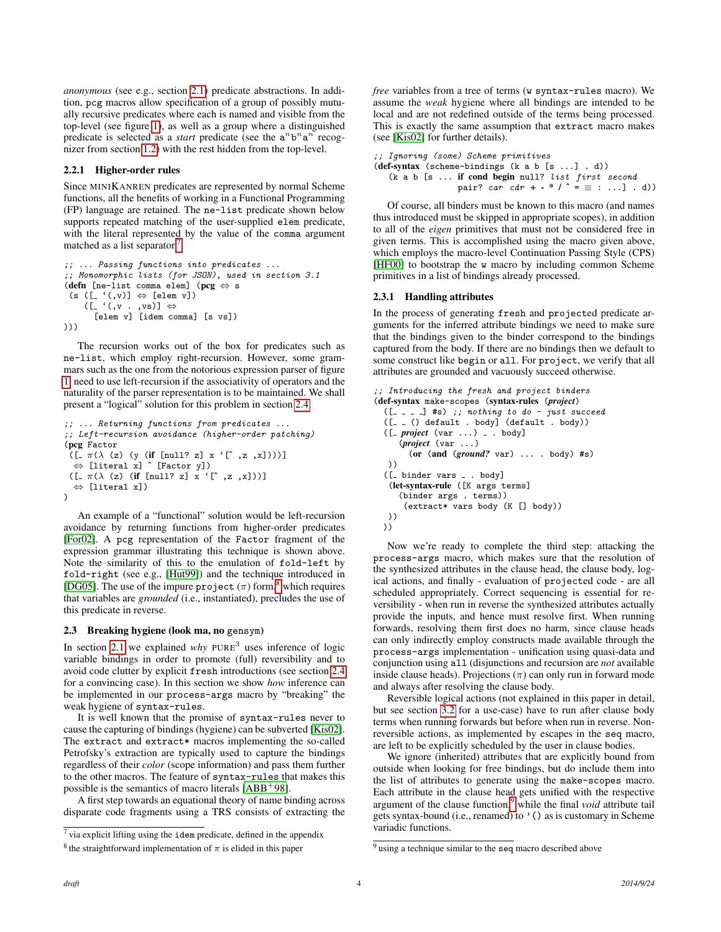*anonymous* (see e.g., section [2.1\)](#page-2-0) predicate abstractions. In addition, pcg macros allow specification of a group of possibly mutually recursive predicates where each is named and visible from the top-level (see figure [1\)](#page-2-3), as well as a group where a distinguished predicate is selected as a *start* predicate (see the  $a^n b^n a^n$  recognizer from section [1.2\)](#page-1-1) with the rest hidden from the top-level.

## <span id="page-3-4"></span>2.2.1 Higher-order rules

Since MINIKANREN predicates are represented by normal Scheme functions, all the benefits of working in a Functional Programming (FP) language are retained. The ne-list predicate shown below supports repeated matching of the user-supplied elem predicate, with the literal represented by the value of the comma argument matched as a list separator.<sup>[7](#page-3-1)</sup>

```
;; ... Passing functions into predicates ...
;; Monomorphic lists (for JSON), used in section 3.1
(defn [ne-list comma elem] (pcg ⇔ s
 (s ([_'(,v)] \Leftrightarrow [elem v])
    \Leftrightarrow [(zv, . y,)' .])
       [elem v] [idem comma] [s vs])
)))
```
The recursion works out of the box for predicates such as ne-list, which employ right-recursion. However, some grammars such as the one from the notorious expression parser of figure [1,](#page-2-3) need to use left-recursion if the associativity of operators and the naturality of the parser representation is to be maintained. We shall present a "logical" solution for this problem in section [2.4.](#page-4-0)

```
;; ... Returning functions from predicates ...
;; Left-recursion avoidance (higher-order patching)
(pcg Factor
 ([ \ _{\pi} (\lambda (z) (y (if [null? z] x '[^{^{\prime}} , z , x))))])⇔ [literal x] ˆ [Factor y])
 ([-\pi(\lambda (z) (if [null? z] x '[^s, z, x]))]⇔ [literal x])
\lambda
```
An example of a "functional" solution would be left-recursion avoidance by returning functions from higher-order predicates [\[For02\]](#page-8-10). A pcg representation of the Factor fragment of the expression grammar illustrating this technique is shown above. Note the similarity of this to the emulation of fold-left by fold-right (see e.g., [\[Hut99\]](#page-9-9)) and the technique introduced in [\[DG05\]](#page-8-11). The use of the impure project  $(\pi)$  form,<sup>[8](#page-3-2)</sup> which requires that variables are *grounded* (i.e., instantiated), precludes the use of this predicate in reverse.

### <span id="page-3-0"></span>2.3 Breaking hygiene (look ma, no gensym)

In section [2.1](#page-2-0) we explained why PURE<sup>3</sup> uses inference of logic variable bindings in order to promote (full) reversibility and to avoid code clutter by explicit fresh introductions (see section [2.4](#page-4-0) for a convincing case). In this section we show *how* inference can be implemented in our process-args macro by "breaking" the weak hygiene of syntax-rules.

It is well known that the promise of syntax-rules never to cause the capturing of bindings (hygiene) can be subverted [\[Kis02\]](#page-9-10). The extract and extract\* macros implementing the so-called Petrofsky's extraction are typically used to capture the bindings regardless of their *color* (scope information) and pass them further to the other macros. The feature of syntax-rules that makes this possible is the semantics of macro literals  $[ABB<sup>+</sup>98]$  $[ABB<sup>+</sup>98]$ .

A first step towards an equational theory of name binding across disparate code fragments using a TRS consists of extracting the *free* variables from a tree of terms (w syntax-rules macro). We assume the *weak* hygiene where all bindings are intended to be local and are not redefined outside of the terms being processed. This is exactly the same assumption that extract macro makes (see [\[Kis02\]](#page-9-10) for further details).

```
;; Ignoring (some) Scheme primitives
(def-syntax (scheme-bindings (k a b [s ...] . d))
   (k a b [s ... if cond begin null? list first second
                 pair? car cdr + - * / ^ = \equiv : ...] . d))
```
Of course, all binders must be known to this macro (and names thus introduced must be skipped in appropriate scopes), in addition to all of the *eigen* primitives that must not be considered free in given terms. This is accomplished using the macro given above, which employs the macro-level Continuation Passing Style (CPS) [\[HF00\]](#page-9-11) to bootstrap the w macro by including common Scheme primitives in a list of bindings already processed.

## <span id="page-3-5"></span>2.3.1 Handling attributes

In the process of generating fresh and projected predicate arguments for the inferred attribute bindings we need to make sure that the bindings given to the binder correspond to the bindings captured from the body. If there are no bindings then we default to some construct like begin or all. For project, we verify that all attributes are grounded and vacuously succeed otherwise.

```
;; Introducing the fresh and project binders
(def-syntax make-scopes (syntax-rules (project)
 ([- - - ] #s) ;; nothing to do - just succeed
 ([- _ | () _ default . <b>body</b>] (default . <b>body</b>)).([ project (var ...) _ . body]
     (project (var ...)
       (or (and (ground? var) ... . body) #s)
  ))
 ([ binder vars . body]
   (let-syntax-rule ([K args terms]
     (binder args . terms))
      (extract* vars body (K [] body))
  ))
 ))
```
Now we're ready to complete the third step: attacking the process-args macro, which makes sure that the resolution of the synthesized attributes in the clause head, the clause body, logical actions, and finally - evaluation of projected code - are all scheduled appropriately. Correct sequencing is essential for reversibility - when run in reverse the synthesized attributes actually provide the inputs, and hence must resolve first. When running forwards, resolving them first does no harm, since clause heads can only indirectly employ constructs made available through the process-args implementation - unification using quasi-data and conjunction using all (disjunctions and recursion are *not* available inside clause heads). Projections  $(\pi)$  can only run in forward mode and always after resolving the clause body.

Reversible logical actions (not explained in this paper in detail, but see section [3.2](#page-6-1) for a use-case) have to run after clause body terms when running forwards but before when run in reverse. Nonreversible actions, as implemented by escapes in the seq macro, are left to be explicitly scheduled by the user in clause bodies.

We ignore (inherited) attributes that are explicitly bound from outside when looking for free bindings, but do include them into the list of attributes to generate using the make-scopes macro. Each attribute in the clause head gets unified with the respective argument of the clause function,<sup>[9](#page-3-3)</sup> while the final *void* attribute tail gets syntax-bound (i.e., renamed) to '() as is customary in Scheme variadic functions.

<span id="page-3-1"></span> $\frac{7}{1}$  via explicit lifting using the idem predicate, defined in the appendix

<span id="page-3-2"></span><sup>&</sup>lt;sup>8</sup> the straightforward implementation of  $\pi$  is elided in this paper

<span id="page-3-3"></span><sup>&</sup>lt;sup>9</sup> using a technique similar to the seq macro described above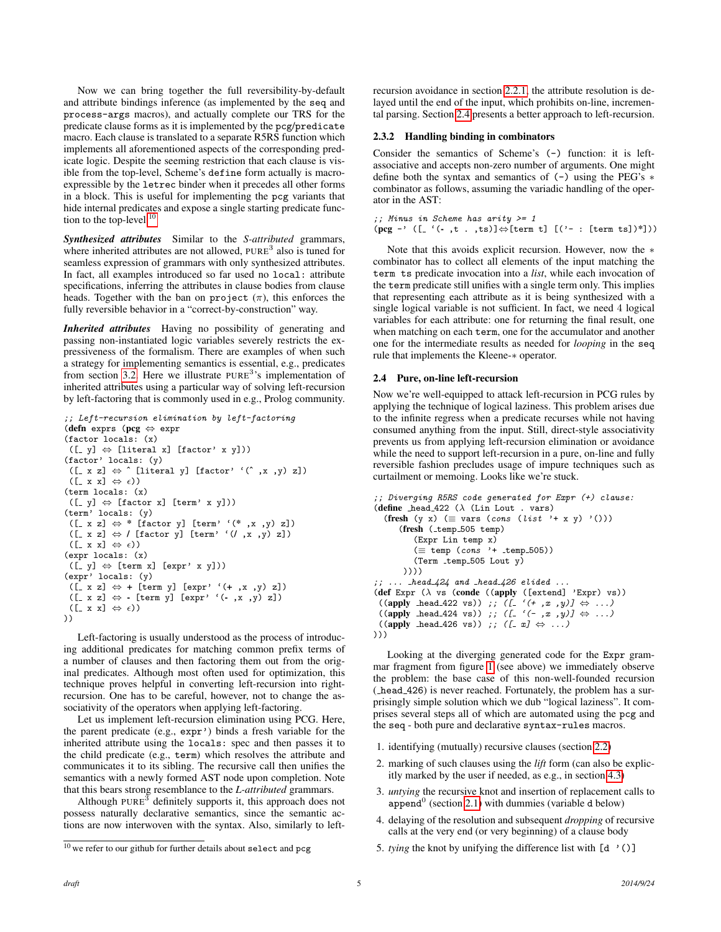Now we can bring together the full reversibility-by-default and attribute bindings inference (as implemented by the seq and process-args macros), and actually complete our TRS for the predicate clause forms as it is implemented by the pcg/predicate macro. Each clause is translated to a separate R5RS function which implements all aforementioned aspects of the corresponding predicate logic. Despite the seeming restriction that each clause is visible from the top-level, Scheme's define form actually is macroexpressible by the letrec binder when it precedes all other forms in a block. This is useful for implementing the pcg variants that hide internal predicates and expose a single starting predicate func-tion to the top-level.<sup>[10](#page-4-1)</sup>

*Synthesized attributes* Similar to the *S-attributed* grammars, where inherited attributes are not allowed,  $PURE<sup>3</sup>$  also is tuned for seamless expression of grammars with only synthesized attributes. In fact, all examples introduced so far used no local: attribute specifications, inferring the attributes in clause bodies from clause heads. Together with the ban on project  $(\pi)$ , this enforces the fully reversible behavior in a "correct-by-construction" way.

*Inherited attributes* Having no possibility of generating and passing non-instantiated logic variables severely restricts the expressiveness of the formalism. There are examples of when such a strategy for implementing semantics is essential, e.g., predicates from section [3.2.](#page-6-1) Here we illustrate PURE<sup>3</sup>'s implementation of inherited attributes using a particular way of solving left-recursion by left-factoring that is commonly used in e.g., Prolog community.

```
;; Left-recursion elimination by left-factoring
(defn exprs (pcg ⇔ expr
(factor locals: (x)
 ([- y] \Leftrightarrow [literal x] [factor' x y]))
(factor' locals: (y)
 ([- x z] \Leftrightarrow ^ [literal y] [factor' '(^, x, y) z])
 ([x x] \Leftrightarrow \epsilon))(term locals: (x)
 ([- y] \Leftrightarrow [factor x] [term' x y])(term' locals: (y)
 ([ x z] ⇔ * [factor y] [term' '(* ,x ,y) z])
 ([_ x z] \Leftrightarrow / [factor y] [term' '(/ ,x ,y) z])
 ([x x] \Leftrightarrow \epsilon))(expr locals: (x)
 ([y] \Leftrightarrow [term x] [expr' x y]))
(expr' locals: (y)
 ([x z] \Leftrightarrow + [term y] [expr' ' (+ , x , y) z])([x z] \Leftrightarrow [term y] [expr' '(-,x, y) z])
 ([ x x ] \Leftrightarrow \epsilon))
))
```
Left-factoring is usually understood as the process of introducing additional predicates for matching common prefix terms of a number of clauses and then factoring them out from the original predicates. Although most often used for optimization, this technique proves helpful in converting left-recursion into rightrecursion. One has to be careful, however, not to change the associativity of the operators when applying left-factoring.

Let us implement left-recursion elimination using PCG. Here, the parent predicate (e.g., expr') binds a fresh variable for the inherited attribute using the locals: spec and then passes it to the child predicate (e.g., term) which resolves the attribute and communicates it to its sibling. The recursive call then unifies the semantics with a newly formed AST node upon completion. Note that this bears strong resemblance to the *L-attributed* grammars.

Although PURE<sup>3</sup> definitely supports it, this approach does not possess naturally declarative semantics, since the semantic actions are now interwoven with the syntax. Also, similarly to leftrecursion avoidance in section [2.2.1,](#page-3-4) the attribute resolution is delayed until the end of the input, which prohibits on-line, incremental parsing. Section [2.4](#page-4-0) presents a better approach to left-recursion.

### 2.3.2 Handling binding in combinators

Consider the semantics of Scheme's (-) function: it is leftassociative and accepts non-zero number of arguments. One might define both the syntax and semantics of (-) using the PEG's ∗ combinator as follows, assuming the variadic handling of the operator in the AST:

```
;; Minus in Scheme has arity >= 1
(\text{pcg} \rightarrow ([\text{-} '(-t t t t, ts)] \Leftrightarrow [\text{term } t] [('- : [\text{term } ts])^*]))
```
Note that this avoids explicit recursion. However, now the ∗ combinator has to collect all elements of the input matching the term ts predicate invocation into a *list*, while each invocation of the term predicate still unifies with a single term only. This implies that representing each attribute as it is being synthesized with a single logical variable is not sufficient. In fact, we need 4 logical variables for each attribute: one for returning the final result, one when matching on each term, one for the accumulator and another one for the intermediate results as needed for *looping* in the seq rule that implements the Kleene-∗ operator.

#### <span id="page-4-0"></span>2.4 Pure, on-line left-recursion

Now we're well-equipped to attack left-recursion in PCG rules by applying the technique of logical laziness. This problem arises due to the infinite regress when a predicate recurses while not having consumed anything from the input. Still, direct-style associativity prevents us from applying left-recursion elimination or avoidance while the need to support left-recursion in a pure, on-line and fully reversible fashion precludes usage of impure techniques such as curtailment or memoing. Looks like we're stuck.

```
;; Diverging R5RS code generated for Expr (+) clause:
(define head_422 (\lambda (Lin Lout . vars)
   (fresh (y x) (\equiv vars (cons (list '+ x y) '()))
      (fresh (_temp_505 temp)
          (Expr Lin temp x)
          (\equiv temp (cons '+ _temp_505))
          (Term _temp_505 Lout y)
       ))))
   \ldots head 424 and head 426 elided \ldots(def Expr (\lambda \text{ vs } (\text{conde } ((\text{apply } ([\text{extend}] \text{ 'Expr}) \text{ vs })))((apply \text{ head.422 vs})); ([-(+, x), y)] \Leftrightarrow ...)((apply head 424 vs)) ;; ([ '(-,x,y)] \Leftrightarrow ...)
 ((apply \text{head}_426 \text{ vs.}) ;; ([ x \rightarrow \cdots)
)))
```
Looking at the diverging generated code for the Expr grammar fragment from figure [1](#page-2-3) (see above) we immediately observe the problem: the base case of this non-well-founded recursion ( head 426) is never reached. Fortunately, the problem has a surprisingly simple solution which we dub "logical laziness". It comprises several steps all of which are automated using the pcg and the seq - both pure and declarative syntax-rules macros.

- 1. identifying (mutually) recursive clauses (section [2.2\)](#page-2-1)
- 2. marking of such clauses using the *lift* form (can also be explicitly marked by the user if needed, as e.g., in section [4.3\)](#page-7-1)
- 3. *untying* the recursive knot and insertion of replacement calls to append<sup>0</sup> (section [2.1\)](#page-2-0) with dummies (variable d below)
- 4. delaying of the resolution and subsequent *dropping* of recursive calls at the very end (or very beginning) of a clause body
- 5. *tying* the knot by unifying the difference list with [d '()]

<span id="page-4-1"></span> $10$  we refer to our github for further details about select and pcg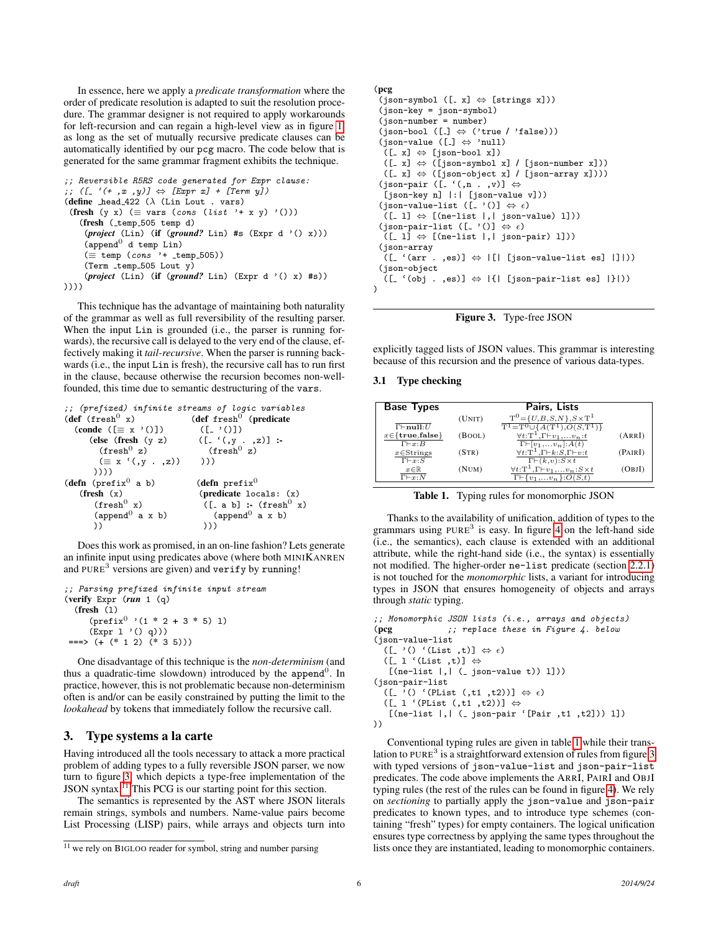In essence, here we apply a *predicate transformation* where the order of predicate resolution is adapted to suit the resolution procedure. The grammar designer is not required to apply workarounds for left-recursion and can regain a high-level view as in figure [1,](#page-2-3) as long as the set of mutually recursive predicate clauses can be automatically identified by our pcg macro. The code below that is generated for the same grammar fragment exhibits the technique.

```
;; Reversible R5RS code generated for Expr clause:
;; ([ '(+, x, y)] \Leftrightarrow [Expr x] + [Term y])
(define head_422 (\lambda (Lin Lout . vars)
 (fresh (y x) (\equiv vars (cons (list '+ x y) '()))
   (fresh (_temp_505 temp d)
    (project (Lin) (if (ground? Lin) #s (Expr d '() x)))
    (\text{append}^0 d temp Lin)
    (\equiv temp (cons '+ _temp_505))
    (Term\times temp_505 Lout y)(project (Lin) (if (ground? Lin) (Expr d '() x) #s))
))))
```
This technique has the advantage of maintaining both naturality of the grammar as well as full reversibility of the resulting parser. When the input Lin is grounded (i.e., the parser is running forwards), the recursive call is delayed to the very end of the clause, effectively making it *tail-recursive*. When the parser is running backwards (i.e., the input Lin is fresh), the recursive call has to run first in the clause, because otherwise the recursion becomes non-wellfounded, this time due to semantic destructuring of the vars.

```
;; (prefixed) infinite streams of logic variables<br>(def (fresh<sup>0</sup> x) (def fresh<sup>0</sup> (predicate)
                                            (def {\rm fresh}^0 (predicate
   (conde ([ \equiv x'()])(else (fresh (y z) ([-(y, y, z)]] :-<br>
(fresh<sup>0</sup> z) (fresh<sup>0</sup> z)
            (\equiv x'([y', z), 0))))))
(defn (prefix<sup>0</sup> a b) (defn prefix<sup>0</sup>
     (fresh (x) (predicate locals: (x)<br>
(fresh<sup>0</sup> x) ([\alpha b] : (fresh<sup>0</sup> x)
                                                 ([-a b] :- (fresh<sup>0</sup> x)<br>(append<sup>0</sup> a x b)
          (\text{append}^0 a x b)
          )) )))
```
Does this work as promised, in an on-line fashion? Lets generate an infinite input using predicates above (where both MINIKANREN and PURE<sup>3</sup> versions are given) and verify by running!

```
;; Parsing prefixed infinite input stream
(verify Expr (run 1 (q)
  (fresh (l)
     (prefix<sup>0</sup> '(1 * 2 + 3 * 5) 1)(\text{Expr 1 } '() q)))===> (+ (* 1 2) (* 3 5)))
```
One disadvantage of this technique is the *non-determinism* (and thus a quadratic-time slowdown) introduced by the append<sup>0</sup>. In practice, however, this is not problematic because non-determinism often is and/or can be easily constrained by putting the limit to the *lookahead* by tokens that immediately follow the recursive call.

## <span id="page-5-0"></span>3. Type systems a la carte

Having introduced all the tools necessary to attack a more practical problem of adding types to a fully reversible JSON parser, we now turn to figure [3,](#page-5-1) which depicts a type-free implementation of the JSON syntax.[11](#page-5-2) This PCG is our starting point for this section.

The semantics is represented by the AST where JSON literals remain strings, symbols and numbers. Name-value pairs become List Processing (LISP) pairs, while arrays and objects turn into

# $(ison-symbol ([x] \Leftrightarrow [strings x]))$ (json-key = json-symbol) (json-number = number)

(pcg

```
(json-bool ([.] \Leftrightarrow ('true / 'false)))(json-value ([\ ] \Leftrightarrow 'null)([- x] \Leftrightarrow [ison-book x])([- x] \Leftrightarrow ([json-symbol x] / [json-number x]))([- x] \Leftrightarrow ([ ison-object x] / [ ison-array x]))(json-pair ([\cdot, n, ..., v]) \Leftrightarrow[json-key n] |:| [json-value v]))
  (json-value-list ([, '()] \Leftrightarrow \epsilon)(I_1] \Leftrightarrow [(ne-list |, |_json-value | 1])(json-pair-list ([. '()] \Leftrightarrow \epsilon)
   ([- 1] \Leftrightarrow [(\text{ne-list } | , | \text{ ison-pair}) 1]))(json-array
  ([ ( (arr . ,es)] \Leftrightarrow | [ | [ json-value-list es] | | | | |))
 (json-object
   (\texttt{[- } ' (obj . , es)] \Leftrightarrow |\{ | \texttt{ [json-pair-list es]} | \} |))\lambda
```
<span id="page-5-1"></span>Figure 3. Type-free JSON

explicitly tagged lists of JSON values. This grammar is interesting because of this recursion and the presence of various data-types.

#### 3.1 Type checking

| <b>Base Types</b>                          |        | Pairs, Lists                                                                             |         |
|--------------------------------------------|--------|------------------------------------------------------------------------------------------|---------|
|                                            | (UNIT) | $T^0 = \{U, B, S, N\}, S \times T^1$                                                     |         |
| $\overline{\Gamma \vdash \mathbf{null}:U}$ |        | $T^1 = T^0 \cup \{A(T^1), O(S,T^1)\}$                                                    |         |
| $x \in \{true, false\}$                    | (BOOL) | $\forall t$ : T <sup>1</sup> , $\Gamma \vdash v_1, \ldots v_n$ : t                       | (ARRI)  |
| $\Gamma \vdash x : B$                      |        | $\Gamma\vdash[v_1,\ldots v_n]:A(t)$                                                      |         |
| $x \in$ Strings                            | (STR)  | $\forall t:\mathbf{T}^1,\Gamma\vdash k:S,\Gamma\vdash v:t$                               | (PAIRI) |
| $\Gamma \vdash x : S$                      |        | $\Gamma\vdash(k,\nu):S\times t$                                                          |         |
| $x \in \mathbb{R}$                         | (NUM)  | $\underline{\forall t{:}\mathbf{T}^1,\mathbf{\Gamma}\vdash v_1,\ldots v_n:S\!\times\!t}$ | (OBJI)  |
| $\Gamma \vdash x : N$                      |        | $\Gamma \vdash \{v_1, \ldots v_n\} : O(S,t)$                                             |         |

<span id="page-5-3"></span>Table 1. Typing rules for monomorphic JSON

Thanks to the availability of unification, addition of types to the grammars using  $PURE<sup>3</sup>$  is easy. In figure [4](#page-6-2) on the left-hand side (i.e., the semantics), each clause is extended with an additional attribute, while the right-hand side (i.e., the syntax) is essentially not modified. The higher-order ne-list predicate (section [2.2.1\)](#page-3-4) is not touched for the *monomorphic* lists, a variant for introducing types in JSON that ensures homogeneity of objects and arrays through *static* typing.

```
;; Monomorphic JSON lists (i.e., arrays and objects)
(pcg ;; replace these in Figure 4. below
(json-value-list
  ([- '() ' (List , t)] \Leftrightarrow \epsilon)([- 1 (List , t)] \Leftrightarrow[(ne-list |, | (-json-value t)) 1]))(json-pair-list
  ([-\cdot () '(PList (,t1,t2))] \Leftrightarrow \epsilon)([- 1 ' (Plist (, t1 , t2))] ⇔
    [(ne-list |,| ( json-pair '[Pair ,t1 ,t2])) l])
))
```
Conventional typing rules are given in table [1](#page-5-3) while their trans-lation to PURE<sup>3</sup> is a straightforward extension of rules from figure [3](#page-5-1) with typed versions of json-value-list and json-pair-list predicates. The code above implements the ARRI, PAIRI and OBJI typing rules (the rest of the rules can be found in figure [4\)](#page-6-2). We rely on *sectioning* to partially apply the json-value and json-pair predicates to known types, and to introduce type schemes (containing "fresh" types) for empty containers. The logical unification ensures type correctness by applying the same types throughout the lists once they are instantiated, leading to monomorphic containers.

<span id="page-5-2"></span><sup>11</sup> we rely on BIGLOO reader for symbol, string and number parsing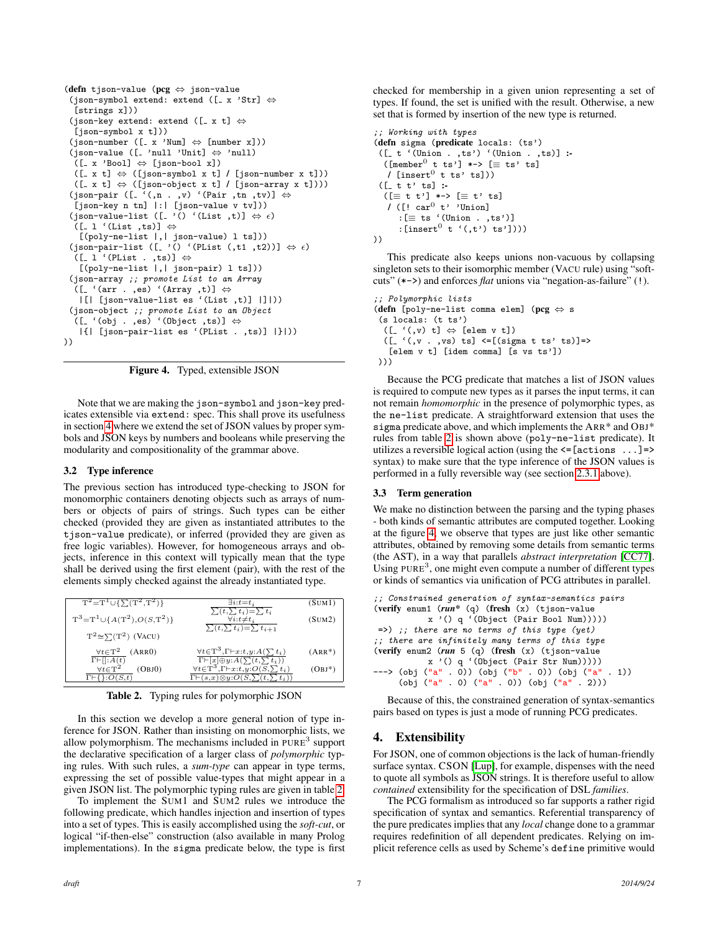```
(defn tjson-value (pcg ⇔ json-value
 (json-symbol extend: extend ([x \text{ 'Str}] \Leftrightarrow[strings x]))
 (json-key extend: extend ([-x t] \Leftrightarrow[json-symbol x t]))
 (json-number ([x'Num] \Leftrightarrow [number x]))(json-value ([\_ 'null 'Unit] \Leftrightarrow 'null)
  ([- x 'Bool] \Leftrightarrow [json-book x])([- x t] \Leftrightarrow ([json-symbol x t] / [json-number x t]))([- x t] \Leftrightarrow ([ ison-object x t] / [ ison-array x t]))(json-pair ([ '(n, n, v) '(Pair ,tn ,tv)] \Leftrightarrow[json-key n tn] |:| [json-value v tv]))
 (json-value-list ([.'() '(List ,t)] \Leftrightarrow \epsilon)
  ([- 1 ' (List , ts)] \Leftrightarrow[(poly-ne-list |,| json-value) l ts]))
 (json-pair-list ([.'() '(PList (,t1,t2))] \Leftrightarrow \epsilon)
  ([- 1 ' (Plist . ,ts)] ⇔
   [(poly-ne-list |,| json-pair) l ts]))
 (json-array ;; promote List to an Array
  ([ ( (arr . , es) '(Array , t)] \Leftrightarrow|[| [json-value-list es '(List ,t)] |]|))
 (json-object ;; promote List to an Object
  ([(- ' (obj . ,es) ' (Object ,ts)] \Leftrightarrow|{| [json-pair-list es '(PList . ,ts)] |}|))
))
```
<span id="page-6-2"></span>Figure 4. Typed, extensible JSON

Note that we are making the json-symbol and json-key predicates extensible via extend: spec. This shall prove its usefulness in section [4](#page-6-0) where we extend the set of JSON values by proper symbols and JSON keys by numbers and booleans while preserving the modularity and compositionality of the grammar above.

### <span id="page-6-1"></span>3.2 Type inference

The previous section has introduced type-checking to JSON for monomorphic containers denoting objects such as arrays of numbers or objects of pairs of strings. Such types can be either checked (provided they are given as instantiated attributes to the tjson-value predicate), or inferred (provided they are given as free logic variables). However, for homogeneous arrays and objects, inference in this context will typically mean that the type shall be derived using the first element (pair), with the rest of the elements simply checked against the already instantiated type.

| $T^2 = T^1 \cup \{\sum(T^2,T^2)\}\$                                                                 | $\exists i:t=t_i$                                                                                                                                                                                 | (SUM1)    |
|-----------------------------------------------------------------------------------------------------|---------------------------------------------------------------------------------------------------------------------------------------------------------------------------------------------------|-----------|
| $T^3 = T^1 \cup \{A(T^2), O(S,T^2)\}\$                                                              | $\sum(t,\sum t_i)=\sum t_i$<br>$\forall i: t \neq t_i$<br>$\sum_{i} (t, \sum_{i} t_{i}) = \sum_{i} t_{i+1}$                                                                                       | (SUM2)    |
| $T^2 \cong \sum (T^2)$ (VACU)                                                                       |                                                                                                                                                                                                   |           |
| $\forall t \in T^2$ (ARRO)                                                                          | $\forall t \in T^3, \Gamma \vdash x:t, y: A(\sum t_i)$                                                                                                                                            | $(ARR^*)$ |
| $\overline{\Gamma \vdash [ ]}:A(t)$<br>$\forall t \in T^2$<br>(OBJO)<br>$\Gamma \vdash \{\}.O(S,t)$ | $\substack{\Gamma \vdash [x] \oplus y : A(\sum (t, \sum t_i)) \\ \forall t \in \textsf{T}^3, \Gamma \vdash x : t, y : O(S, \sum t_i)}$<br>$\Gamma \vdash (s,x) \otimes y : O(S,\sum(t,\sum t_i))$ | $(OBJ^*)$ |

<span id="page-6-3"></span>Table 2. Typing rules for polymorphic JSON

In this section we develop a more general notion of type inference for JSON. Rather than insisting on monomorphic lists, we allow polymorphism. The mechanisms included in  $PURE<sup>3</sup>$  support the declarative specification of a larger class of *polymorphic* typing rules. With such rules, a *sum-type* can appear in type terms, expressing the set of possible value-types that might appear in a given JSON list. The polymorphic typing rules are given in table [2.](#page-6-3)

To implement the SUM1 and SUM2 rules we introduce the following predicate, which handles injection and insertion of types into a set of types. This is easily accomplished using the *soft-cut*, or logical "if-then-else" construction (also available in many Prolog implementations). In the sigma predicate below, the type is first checked for membership in a given union representing a set of types. If found, the set is unified with the result. Otherwise, a new set that is formed by insertion of the new type is returned.

```
;; Working with types
(defn sigma (predicate locals: (ts')
 ([- t '(Union . ,ts') ' (Union . ,ts)] :
  ([member<sup>0</sup> t ts'] *-> [ \equiv ts' ts]/ [insert^0 t ts' ts]))
 ([- t t' ts] :([ \equiv t \ t')] *-> [ \equiv t' \ ts]/ ([! car<sup>0</sup> t' 'Union]
      :[\equiv ts '(Union . ,ts')]
      : [insert<sup>0</sup> t '(, t') ts'])))
))
```
This predicate also keeps unions non-vacuous by collapsing singleton sets to their isomorphic member (VACU rule) using "softcuts" (\*->) and enforces *flat* unions via "negation-as-failure" (!).

;; Polymorphic lists (defn [poly-ne-list comma elem] (pcg ⇔ s (s locals: (t ts')  $([- '(, v) t] \Leftrightarrow [elem v t])$  $([- '(, v , v s) ts] < [(\text{sigma t ts' ts})]$ [elem v t] [idem comma] [s vs ts']) )))

Because the PCG predicate that matches a list of JSON values is required to compute new types as it parses the input terms, it can not remain *homomorphic* in the presence of polymorphic types, as the ne-list predicate. A straightforward extension that uses the sigma predicate above, and which implements the ARR\* and OBJ\* rules from table [2](#page-6-3) is shown above (poly-ne-list predicate). It utilizes a reversible logical action (using the  $\leq$  [actions ...] => syntax) to make sure that the type inference of the JSON values is performed in a fully reversible way (see section [2.3.1](#page-3-5) above).

#### 3.3 Term generation

We make no distinction between the parsing and the typing phases - both kinds of semantic attributes are computed together. Looking at the figure [4,](#page-6-2) we observe that types are just like other semantic attributes, obtained by removing some details from semantic terms (the AST), in a way that parallels *abstract interpretation* [\[CC77\]](#page-8-12). Using PURE<sup>3</sup>, one might even compute a number of different types or kinds of semantics via unification of PCG attributes in parallel.

```
;; Constrained generation of syntax-semantics pairs
(verify enum1 (run* (q) (fresh (x) (tjson-value
          x '() q '(Object (Pair Bool Num)))))
=>) ;; there are no terms of this type (yet)
;; there are infinitely many terms of this type
(verify enum2 (run 5 (q) (fresh (x) (tjson-value
          x '() q '(Object (Pair Str Num)))))
---> (obj ("a" . 0)) (obj ("b" . 0)) (obj ("a" . 1))
     (obj ("a" . 0) ("a" . 0)) (obj ("a" . 2)))
```
Because of this, the constrained generation of syntax-semantics pairs based on types is just a mode of running PCG predicates.

### <span id="page-6-0"></span>4. Extensibility

For JSON, one of common objections is the lack of human-friendly surface syntax. CSON [\[Lup\]](#page-9-12), for example, dispenses with the need to quote all symbols as JSON strings. It is therefore useful to allow *contained* extensibility for the specification of DSL *families*.

The PCG formalism as introduced so far supports a rather rigid specification of syntax and semantics. Referential transparency of the pure predicates implies that any *local* change done to a grammar requires redefinition of all dependent predicates. Relying on implicit reference cells as used by Scheme's define primitive would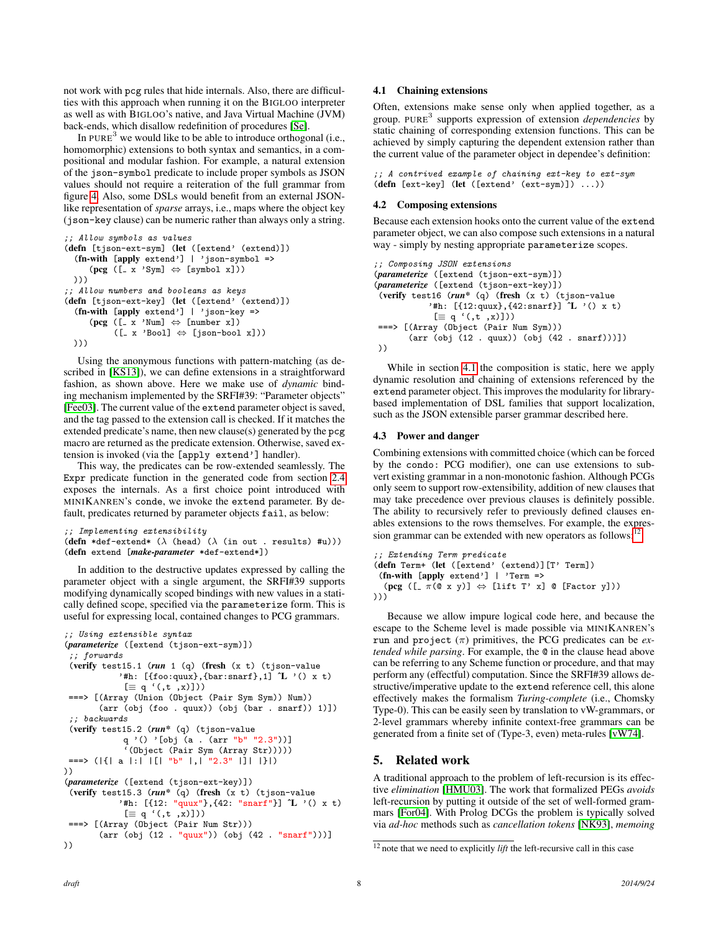not work with pcg rules that hide internals. Also, there are difficulties with this approach when running it on the BIGLOO interpreter as well as with BIGLOO's native, and Java Virtual Machine (JVM) back-ends, which disallow redefinition of procedures [\[Se\]](#page-9-13).

In PURE<sup>3</sup> we would like to be able to introduce orthogonal (i.e., homomorphic) extensions to both syntax and semantics, in a compositional and modular fashion. For example, a natural extension of the json-symbol predicate to include proper symbols as JSON values should not require a reiteration of the full grammar from figure [4.](#page-6-2) Also, some DSLs would benefit from an external JSONlike representation of *sparse* arrays, i.e., maps where the object key (json-key clause) can be numeric rather than always only a string.

```
;; Allow symbols as values
(defn [tjson-ext-sym] (let ([extend' (extend)])
  (fn-with [apply extend'] | 'json-symbol =>
      (\text{pcg } ([x \text{ 'Sym}] \Leftrightarrow [symbol x]) ))))
;; Allow numbers and booleans as keys
(defn [tjson-ext-key] (let ([extend' (extend)])
  (fn-with [apply extend'] | 'json-key =>
      (\text{pcg } ([x \text{ 'Num}] \Leftrightarrow [\text{number x}])([- x 'Bool] \Leftrightarrow [ison-book x])))))
```
Using the anonymous functions with pattern-matching (as described in [\[KS13\]](#page-9-5)), we can define extensions in a straightforward fashion, as shown above. Here we make use of *dynamic* binding mechanism implemented by the SRFI#39: "Parameter objects" [\[Fee03\]](#page-8-13). The current value of the extend parameter object is saved, and the tag passed to the extension call is checked. If it matches the extended predicate's name, then new clause(s) generated by the pcg macro are returned as the predicate extension. Otherwise, saved extension is invoked (via the [apply extend'] handler).

This way, the predicates can be row-extended seamlessly. The Expr predicate function in the generated code from section [2.4](#page-4-0) exposes the internals. As a first choice point introduced with MINIKANREN's conde, we invoke the extend parameter. By default, predicates returned by parameter objects fail, as below:

;; Implementing extensibility

```
(defn *def-extend* (\lambda (head) (\lambda (in out . results) #u)))
(defn extend [make-parameter *def-extend*])
```
In addition to the destructive updates expressed by calling the parameter object with a single argument, the SRFI#39 supports modifying dynamically scoped bindings with new values in a statically defined scope, specified via the parameterize form. This is useful for expressing local, contained changes to PCG grammars.

```
;; Using extensible syntax
(parameterize ([extend (tjson-ext-sym)])
 ;; forwards
 (verify test15.1 (run 1 (q) (fresh (x t) (tjson-value
            '#h: [{foo:quux}, {bar:snarf}, 1] \mathcal{L}' '() x t)
            [ \equiv q'(t, t, x) ]===> [(Array (Union (Object (Pair Sym Sym)) Num))
       (arr (obj (foo . quux)) (obj (bar . snarf)) 1)])
 ;; backwards
 (verify test15.2 (run* (q) (tjson-value
             q '() '[obj (a . (arr "b" "2.3"))]
             '(Object (Pair Sym (Array Str)))))
===> (|{| a |:| |[| "b" |,| "2.3" |]| |}|)
))
(parameterize ([extend (tjson-ext-key)])
 (verify test15.3 (run* (q) (fresh (x t) (tjson-value
           '#h: [{12: "quux"}, {42: "snarf"}] ^L '() x t)
            [ \equiv q'(.t, x)])===> [(Array (Object (Pair Num Str)))
       (arr (obj (12 . "quux")) (obj (42 . "snarf")))]
))
```
#### <span id="page-7-2"></span>4.1 Chaining extensions

Often, extensions make sense only when applied together, as a group. PURE<sup>3</sup> supports expression of extension *dependencies* by static chaining of corresponding extension functions. This can be achieved by simply capturing the dependent extension rather than the current value of the parameter object in dependee's definition:

;; A contrived example of chaining ext-key to ext-sym (defn [ext-key] (let ([extend' (ext-sym)]) ...))

#### 4.2 Composing extensions

Because each extension hooks onto the current value of the extend parameter object, we can also compose such extensions in a natural way - simply by nesting appropriate parameterize scopes.

```
;; Composing JSON extensions
(parameterize ([extend (tjson-ext-sym)])
(parameterize ([extend (tjson-ext-key)])
(verify test16 (run* (q) (fresh (x t) (tjson-value
           '#h: [{12:quux}, {42:snarf}] \hat{L}' '() x t)
            [\equiv q'(t, t, x)]===> [(Array (Object (Pair Num Sym)))
       (arr (obj (12 . quux)) (obj (42 . snarf)))])
))
```
While in section [4.1](#page-7-2) the composition is static, here we apply dynamic resolution and chaining of extensions referenced by the extend parameter object. This improves the modularity for librarybased implementation of DSL families that support localization, such as the JSON extensible parser grammar described here.

#### <span id="page-7-1"></span>4.3 Power and danger

Combining extensions with committed choice (which can be forced by the condo: PCG modifier), one can use extensions to subvert existing grammar in a non-monotonic fashion. Although PCGs only seem to support row-extensibility, addition of new clauses that may take precedence over previous clauses is definitely possible. The ability to recursively refer to previously defined clauses enables extensions to the rows themselves. For example, the expression grammar can be extended with new operators as follows:

```
;; Extending Term predicate
(defn Term+ (let ([extend' (extend)][T' Term])
 (fn-with [apply extend'] | 'Term =>
  (pcg ([ \pi(\alpha x y)] \Leftrightarrow [lift T' x] \alpha [Factor y]))
)))
```
Because we allow impure logical code here, and because the escape to the Scheme level is made possible via MINIKANREN's run and project (π) primitives, the PCG predicates can be *extended while parsing*. For example, the @ in the clause head above can be referring to any Scheme function or procedure, and that may perform any (effectful) computation. Since the SRFI#39 allows destructive/imperative update to the extend reference cell, this alone effectively makes the formalism *Turing-complete* (i.e., Chomsky Type-0). This can be easily seen by translation to vW-grammars, or 2-level grammars whereby infinite context-free grammars can be generated from a finite set of (Type-3, even) meta-rules [\[vW74\]](#page-9-14).

### <span id="page-7-0"></span>5. Related work

A traditional approach to the problem of left-recursion is its effective *elimination* [\[HMU03\]](#page-9-15). The work that formalized PEGs *avoids* left-recursion by putting it outside of the set of well-formed grammars [\[For04\]](#page-9-4). With Prolog DCGs the problem is typically solved via *ad-hoc* methods such as *cancellation tokens* [\[NK93\]](#page-9-16), *memoing*

<span id="page-7-3"></span><sup>&</sup>lt;sup>12</sup> note that we need to explicitly *lift* the left-recursive call in this case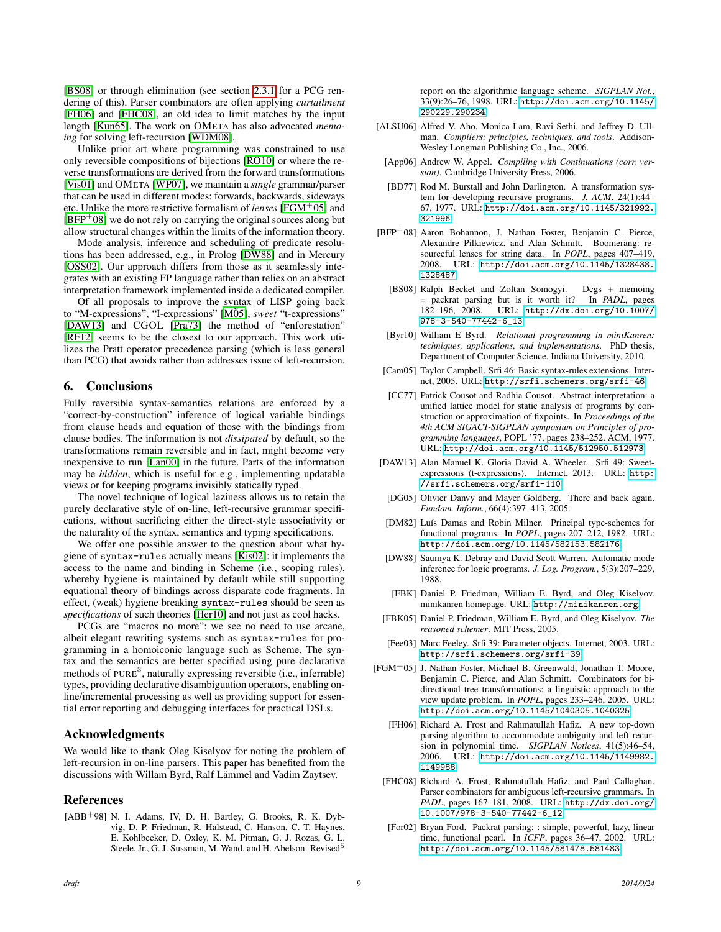[\[BS08\]](#page-8-14) or through elimination (see section [2.3.1](#page-3-5) for a PCG rendering of this). Parser combinators are often applying *curtailment* [\[FH06\]](#page-8-15) and [\[FHC08\]](#page-8-16), an old idea to limit matches by the input length [\[Kun65\]](#page-9-17). The work on OMETA has also advocated *memoing* for solving left-recursion [\[WDM08\]](#page-9-18).

Unlike prior art where programming was constrained to use only reversible compositions of bijections [\[RO10\]](#page-9-19) or where the reverse transformations are derived from the forward transformations [\[Vis01\]](#page-9-20) and OMETA [\[WP07\]](#page-9-21), we maintain a *single* grammar/parser that can be used in different modes: forwards, backwards, sideways etc. Unlike the more restrictive formalism of *lenses* [\[FGM](#page-8-17)<sup>+</sup>05] and  $[BFP<sup>+</sup>08]$  $[BFP<sup>+</sup>08]$  we do not rely on carrying the original sources along but allow structural changes within the limits of the information theory.

Mode analysis, inference and scheduling of predicate resolutions has been addressed, e.g., in Prolog [\[DW88\]](#page-8-19) and in Mercury [\[OSS02\]](#page-9-22). Our approach differs from those as it seamlessly integrates with an existing FP language rather than relies on an abstract interpretation framework implemented inside a dedicated compiler.

Of all proposals to improve the syntax of LISP going back to "M-expressions", "I-expressions" [\[M05\]](#page-9-23), *sweet* "t-expressions" [\[DAW13\]](#page-8-20) and CGOL [\[Pra73\]](#page-9-24) the method of "enforestation" [\[RF12\]](#page-9-25) seems to be the closest to our approach. This work utilizes the Pratt operator precedence parsing (which is less general than PCG) that avoids rather than addresses issue of left-recursion.

### <span id="page-8-6"></span>6. Conclusions

Fully reversible syntax-semantics relations are enforced by a "correct-by-construction" inference of logical variable bindings from clause heads and equation of those with the bindings from clause bodies. The information is not *dissipated* by default, so the transformations remain reversible and in fact, might become very inexpensive to run [\[Lan00\]](#page-9-26) in the future. Parts of the information may be *hidden*, which is useful for e.g., implementing updatable views or for keeping programs invisibly statically typed.

The novel technique of logical laziness allows us to retain the purely declarative style of on-line, left-recursive grammar specifications, without sacrificing either the direct-style associativity or the naturality of the syntax, semantics and typing specifications.

We offer one possible answer to the question about what hygiene of syntax-rules actually means [\[Kis02\]](#page-9-10): it implements the access to the name and binding in Scheme (i.e., scoping rules), whereby hygiene is maintained by default while still supporting equational theory of bindings across disparate code fragments. In effect, (weak) hygiene breaking syntax-rules should be seen as *specifications* of such theories [\[Her10\]](#page-9-27) and not just as cool hacks.

PCGs are "macros no more": we see no need to use arcane, albeit elegant rewriting systems such as syntax-rules for programming in a homoiconic language such as Scheme. The syntax and the semantics are better specified using pure declarative methods of PURE<sup>3</sup>, naturally expressing reversible (i.e., inferrable) types, providing declarative disambiguation operators, enabling online/incremental processing as well as providing support for essential error reporting and debugging interfaces for practical DSLs.

### Acknowledgments

We would like to thank Oleg Kiselyov for noting the problem of left-recursion in on-line parsers. This paper has benefited from the discussions with Willam Byrd, Ralf Lämmel and Vadim Zaytsev.

## References

<span id="page-8-5"></span>[ABB<sup>+</sup>98] N. I. Adams, IV, D. H. Bartley, G. Brooks, R. K. Dybvig, D. P. Friedman, R. Halstead, C. Hanson, C. T. Haynes, E. Kohlbecker, D. Oxley, K. M. Pitman, G. J. Rozas, G. L. Steele, Jr., G. J. Sussman, M. Wand, and H. Abelson. Revised<sup>5</sup>

report on the algorithmic language scheme. *SIGPLAN Not.*, 33(9):26–76, 1998. URL: [http://doi.acm.org/10.1145/](http://doi.acm.org/10.1145/290229.290234) [290229.290234](http://doi.acm.org/10.1145/290229.290234).

- <span id="page-8-3"></span>[ALSU06] Alfred V. Aho, Monica Lam, Ravi Sethi, and Jeffrey D. Ullman. *Compilers: principles, techniques, and tools*. Addison-Wesley Longman Publishing Co., Inc., 2006.
- <span id="page-8-2"></span>[App06] Andrew W. Appel. *Compiling with Continuations (corr. version)*. Cambridge University Press, 2006.
- <span id="page-8-1"></span>[BD77] Rod M. Burstall and John Darlington. A transformation system for developing recursive programs. *J. ACM*, 24(1):44– 67, 1977. URL: [http://doi.acm.org/10.1145/321992.](http://doi.acm.org/10.1145/321992.321996) [321996](http://doi.acm.org/10.1145/321992.321996).
- <span id="page-8-18"></span><span id="page-8-14"></span>[BFP+08] Aaron Bohannon, J. Nathan Foster, Benjamin C. Pierce, Alexandre Pilkiewicz, and Alan Schmitt. Boomerang: resourceful lenses for string data. In *POPL*, pages 407–419, 2008. URL: [http://doi.acm.org/10.1145/1328438.](http://doi.acm.org/10.1145/1328438.1328487) [1328487](http://doi.acm.org/10.1145/1328438.1328487).
	- [BS08] Ralph Becket and Zoltan Somogyi. Dcgs + memoing = packrat parsing but is it worth it? In *PADL*, pages 182–196, 2008. URL: [http://dx.doi.org/10.1007/](http://dx.doi.org/10.1007/978-3-540-77442-6_13) [978-3-540-77442-6\\_13](http://dx.doi.org/10.1007/978-3-540-77442-6_13).
	- [Byr10] William E Byrd. *Relational programming in miniKanren: techniques, applications, and implementations*. PhD thesis, Department of Computer Science, Indiana University, 2010.
- <span id="page-8-9"></span><span id="page-8-8"></span>[Cam05] Taylor Campbell. Srfi 46: Basic syntax-rules extensions. Internet, 2005. URL: <http://srfi.schemers.org/srfi-46>.
- <span id="page-8-12"></span>[CC77] Patrick Cousot and Radhia Cousot. Abstract interpretation: a unified lattice model for static analysis of programs by construction or approximation of fixpoints. In *Proceedings of the 4th ACM SIGACT-SIGPLAN symposium on Principles of programming languages*, POPL '77, pages 238–252. ACM, 1977. URL: <http://doi.acm.org/10.1145/512950.512973>.
- <span id="page-8-20"></span>[DAW13] Alan Manuel K. Gloria David A. Wheeler. Srfi 49: Sweetexpressions (t-expressions). Internet, 2013. URL: [http:](http://srfi.schemers.org/srfi-110) [//srfi.schemers.org/srfi-110](http://srfi.schemers.org/srfi-110).
- <span id="page-8-11"></span>[DG05] Olivier Danvy and Mayer Goldberg. There and back again. *Fundam. Inform.*, 66(4):397–413, 2005.
- <span id="page-8-0"></span>[DM82] Luís Damas and Robin Milner. Principal type-schemes for functional programs. In *POPL*, pages 207–212, 1982. URL: <http://doi.acm.org/10.1145/582153.582176>.
- <span id="page-8-19"></span>[DW88] Saumya K. Debray and David Scott Warren. Automatic mode inference for logic programs. *J. Log. Program.*, 5(3):207–229, 1988.
- <span id="page-8-4"></span>[FBK] Daniel P. Friedman, William E. Byrd, and Oleg Kiselyov. minikanren homepage. URL: <http://minikanren.org>.
- <span id="page-8-7"></span>[FBK05] Daniel P. Friedman, William E. Byrd, and Oleg Kiselyov. *The reasoned schemer*. MIT Press, 2005.
- <span id="page-8-13"></span>[Fee03] Marc Feeley. Srfi 39: Parameter objects. Internet, 2003. URL: <http://srfi.schemers.org/srfi-39>.
- <span id="page-8-17"></span><span id="page-8-16"></span><span id="page-8-15"></span><span id="page-8-10"></span>[FGM+05] J. Nathan Foster, Michael B. Greenwald, Jonathan T. Moore, Benjamin C. Pierce, and Alan Schmitt. Combinators for bidirectional tree transformations: a linguistic approach to the view update problem. In *POPL*, pages 233–246, 2005. URL: <http://doi.acm.org/10.1145/1040305.1040325>.
	- [FH06] Richard A. Frost and Rahmatullah Hafiz. A new top-down parsing algorithm to accommodate ambiguity and left recursion in polynomial time. *SIGPLAN Notices*, 41(5):46–54, 2006. URL: [http://doi.acm.org/10.1145/1149982.](http://doi.acm.org/10.1145/1149982.1149988) [1149988](http://doi.acm.org/10.1145/1149982.1149988).
	- [FHC08] Richard A. Frost, Rahmatullah Hafiz, and Paul Callaghan. Parser combinators for ambiguous left-recursive grammars. In *PADL*, pages 167–181, 2008. URL: [http://dx.doi.org/](http://dx.doi.org/10.1007/978-3-540-77442-6_12) [10.1007/978-3-540-77442-6\\_12](http://dx.doi.org/10.1007/978-3-540-77442-6_12).
	- [For02] Bryan Ford. Packrat parsing: : simple, powerful, lazy, linear time, functional pearl. In *ICFP*, pages 36–47, 2002. URL: <http://doi.acm.org/10.1145/581478.581483>.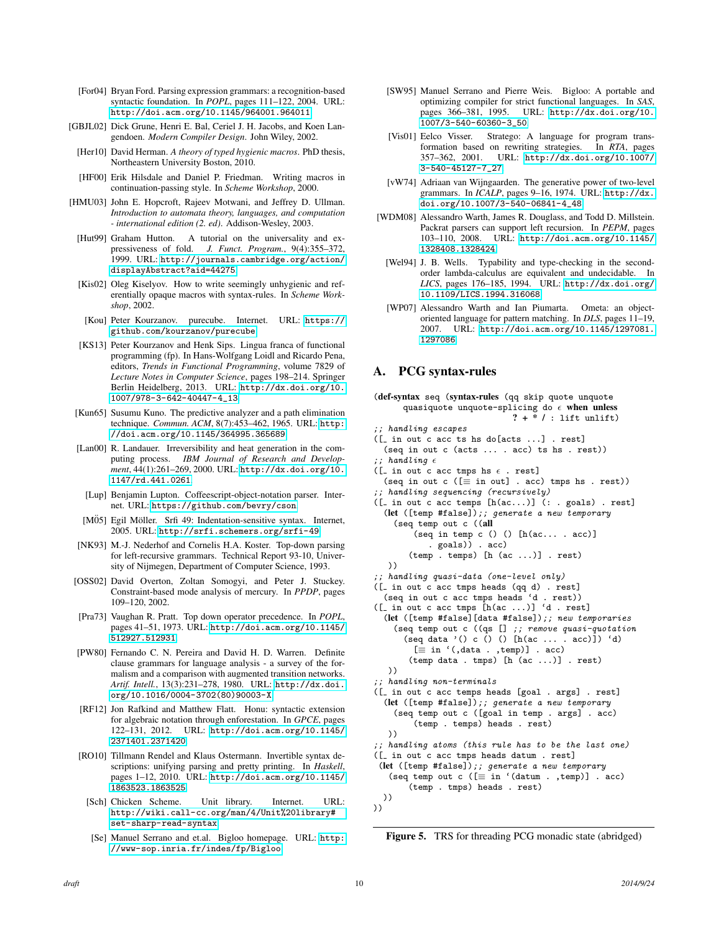- <span id="page-9-4"></span>[For04] Bryan Ford. Parsing expression grammars: a recognition-based syntactic foundation. In *POPL*, pages 111–122, 2004. URL: <http://doi.acm.org/10.1145/964001.964011>.
- <span id="page-9-0"></span>[GBJL02] Dick Grune, Henri E. Bal, Ceriel J. H. Jacobs, and Koen Langendoen. *Modern Compiler Design*. John Wiley, 2002.
- <span id="page-9-27"></span>[Her10] David Herman. *A theory of typed hygienic macros*. PhD thesis, Northeastern University Boston, 2010.
- <span id="page-9-11"></span>[HF00] Erik Hilsdale and Daniel P. Friedman. Writing macros in continuation-passing style. In *Scheme Workshop*, 2000.
- <span id="page-9-15"></span>[HMU03] John E. Hopcroft, Rajeev Motwani, and Jeffrey D. Ullman. *Introduction to automata theory, languages, and computation - international edition (2. ed)*. Addison-Wesley, 2003.
- <span id="page-9-9"></span>[Hut99] Graham Hutton. A tutorial on the universality and expressiveness of fold. *J. Funct. Program.*, 9(4):355–372, 1999. URL: [http://journals.cambridge.org/action/](http://journals.cambridge.org/action/displayAbstract?aid=44275) [displayAbstract?aid=44275](http://journals.cambridge.org/action/displayAbstract?aid=44275).
- <span id="page-9-10"></span>[Kis02] Oleg Kiselyov. How to write seemingly unhygienic and referentially opaque macros with syntax-rules. In *Scheme Workshop*, 2002.
- <span id="page-9-2"></span>[Kou] Peter Kourzanov. purecube. Internet. URL: [https://](https://github.com/kourzanov/purecube) [github.com/kourzanov/purecube](https://github.com/kourzanov/purecube).
- <span id="page-9-5"></span>[KS13] Peter Kourzanov and Henk Sips. Lingua franca of functional programming (fp). In Hans-Wolfgang Loidl and Ricardo Pena, editors, *Trends in Functional Programming*, volume 7829 of *Lecture Notes in Computer Science*, pages 198–214. Springer Berlin Heidelberg, 2013. URL: [http://dx.doi.org/10.](http://dx.doi.org/10.1007/978-3-642-40447-4_13) [1007/978-3-642-40447-4\\_13](http://dx.doi.org/10.1007/978-3-642-40447-4_13).
- <span id="page-9-17"></span>[Kun65] Susumu Kuno. The predictive analyzer and a path elimination technique. *Commun. ACM*, 8(7):453–462, 1965. URL: [http:](http://doi.acm.org/10.1145/364995.365689) [//doi.acm.org/10.1145/364995.365689](http://doi.acm.org/10.1145/364995.365689).
- <span id="page-9-26"></span>[Lan00] R. Landauer. Irreversibility and heat generation in the computing process. *IBM Journal of Research and Development*, 44(1):261–269, 2000. URL: [http://dx.doi.org/10.](http://dx.doi.org/10.1147/rd.441.0261) [1147/rd.441.0261](http://dx.doi.org/10.1147/rd.441.0261).
- <span id="page-9-12"></span>[Lup] Benjamin Lupton. Coffeescript-object-notation parser. Internet. URL: <https://github.com/bevry/cson>.
- <span id="page-9-23"></span>[MÖ5] Egil Möller. Srfi 49: Indentation-sensitive syntax. Internet, 2005. URL: <http://srfi.schemers.org/srfi-49>.
- <span id="page-9-16"></span>[NK93] M.-J. Nederhof and Cornelis H.A. Koster. Top-down parsing for left-recursive grammars. Technical Report 93-10, University of Nijmegen, Department of Computer Science, 1993.
- <span id="page-9-22"></span>[OSS02] David Overton, Zoltan Somogyi, and Peter J. Stuckey. Constraint-based mode analysis of mercury. In *PPDP*, pages 109–120, 2002.
- <span id="page-9-24"></span>[Pra73] Vaughan R. Pratt. Top down operator precedence. In *POPL*, pages 41–51, 1973. URL: [http://doi.acm.org/10.1145/](http://doi.acm.org/10.1145/512927.512931) [512927.512931](http://doi.acm.org/10.1145/512927.512931).
- <span id="page-9-3"></span>[PW80] Fernando C. N. Pereira and David H. D. Warren. Definite clause grammars for language analysis - a survey of the formalism and a comparison with augmented transition networks. *Artif. Intell.*, 13(3):231–278, 1980. URL: [http://dx.doi.](http://dx.doi.org/10.1016/0004-3702(80)90003-X) [org/10.1016/0004-3702\(80\)90003-X](http://dx.doi.org/10.1016/0004-3702(80)90003-X).
- <span id="page-9-25"></span>[RF12] Jon Rafkind and Matthew Flatt. Honu: syntactic extension for algebraic notation through enforestation. In *GPCE*, pages 122–131, 2012. URL: [http://doi.acm.org/10.1145/](http://doi.acm.org/10.1145/2371401.2371420) [2371401.2371420](http://doi.acm.org/10.1145/2371401.2371420).
- <span id="page-9-19"></span>[RO10] Tillmann Rendel and Klaus Ostermann. Invertible syntax descriptions: unifying parsing and pretty printing. In *Haskell*, pages 1–12, 2010. URL: [http://doi.acm.org/10.1145/](http://doi.acm.org/10.1145/1863523.1863525) [1863523.1863525](http://doi.acm.org/10.1145/1863523.1863525).
- <span id="page-9-7"></span>[Sch] Chicken Scheme. Unit library. Internet. URL: [http://wiki.call-cc.org/man/4/Unit%20library#](http://wiki.call-cc.org/man/4/Unit%20library#set-sharp-read-syntax) [set-sharp-read-syntax](http://wiki.call-cc.org/man/4/Unit%20library#set-sharp-read-syntax).
- <span id="page-9-13"></span>[Se] Manuel Serrano and et.al. Bigloo homepage. URL: [http:](http://www-sop.inria.fr/indes/fp/Bigloo) [//www-sop.inria.fr/indes/fp/Bigloo](http://www-sop.inria.fr/indes/fp/Bigloo).
- <span id="page-9-6"></span>[SW95] Manuel Serrano and Pierre Weis. Bigloo: A portable and optimizing compiler for strict functional languages. In *SAS*, pages 366–381, 1995. URL: [http://dx.doi.org/10.](http://dx.doi.org/10.1007/3-540-60360-3_50) [1007/3-540-60360-3\\_50](http://dx.doi.org/10.1007/3-540-60360-3_50).
- <span id="page-9-20"></span>[Vis01] Eelco Visser. Stratego: A language for program transformation based on rewriting strategies. In *RTA*, pages 357–362, 2001. URL: [http://dx.doi.org/10.1007/](http://dx.doi.org/10.1007/3-540-45127-7_27) [3-540-45127-7\\_27](http://dx.doi.org/10.1007/3-540-45127-7_27).
- <span id="page-9-14"></span>[vW74] Adriaan van Wijngaarden. The generative power of two-level grammars. In *ICALP*, pages 9–16, 1974. URL: [http://dx.](http://dx.doi.org/10.1007/3-540-06841-4_48) [doi.org/10.1007/3-540-06841-4\\_48](http://dx.doi.org/10.1007/3-540-06841-4_48).
- <span id="page-9-18"></span><span id="page-9-1"></span>[WDM08] Alessandro Warth, James R. Douglass, and Todd D. Millstein. Packrat parsers can support left recursion. In *PEPM*, pages 103–110, 2008. URL: [http://doi.acm.org/10.1145/](http://doi.acm.org/10.1145/1328408.1328424) [1328408.1328424](http://doi.acm.org/10.1145/1328408.1328424).
	- [Wel94] J. B. Wells. Typability and type-checking in the secondorder lambda-calculus are equivalent and undecidable. In *LICS*, pages 176–185, 1994. URL: [http://dx.doi.org/](http://dx.doi.org/10.1109/LICS.1994.316068) [10.1109/LICS.1994.316068](http://dx.doi.org/10.1109/LICS.1994.316068).
- <span id="page-9-21"></span>[WP07] Alessandro Warth and Ian Piumarta. Ometa: an objectoriented language for pattern matching. In *DLS*, pages 11–19, 2007. URL: [http://doi.acm.org/10.1145/1297081.](http://doi.acm.org/10.1145/1297081.1297086) [1297086](http://doi.acm.org/10.1145/1297081.1297086).

## A. PCG syntax-rules

```
(def-syntax seq (syntax-rules (qq skip quote unquote
      quasiquote unquote-splicing do \epsilon when unless
                              ? + * / : lift unlift)
;; handling escapes
([ in out c acc ts hs do[acts ...] . rest]
  (seq in out c (acts ... . acc) ts hs . rest))
;; handling \epsilon([_ in out c acc tmps hs \epsilon . rest]
  (seq in out c ([\equiv in out] . acc) tmps hs . rest))
;; handling sequencing (recursively)
([- in out c acc temps <math>[h(ac...)]</math> (: . goals) . rest](let ([temp #false]);; generate a new temporary
    (seq temp out c ((all
         (seq in temp c () () [h(ac... accc)]. goals)) . acc)
       (temp . temps) [h (ac ...)] . rest)
   ))
;; handling quasi-data (one-level only)
([ in out c acc tmps heads (qq d) . rest]
  (seq in out c acc tmps heads 'd . rest))
([- in out c acc <math>tmps [h(ac ...)] 'd . rest](let ([temp #false][data #false]);; new temporaries
    (seq temp out c ((qs [] ; remove quasi-quotation
      (\text{seq data } '() c () () [h(\text{ac ... } acc)]' d)[\equiv in '(,data . ,temp)] . acc)
       (temp data . tmps) [h (ac ...)] . rest)
   ))
;; handling non-terminals
([ in out c acc temps heads [goal . args] . rest]
  (let ([temp #false]);; generate a new temporary
    (seq temp out c ([goal in temp . args] . acc)
         (temp . temps) heads . rest)
   ))
;; handling atoms (this rule has to be the last one)
([ in out c acc tmps heads datum . rest]
 (let ([temp #false]);; generate a new temporary
   (\text{seq temp out c } ([\equiv \text{ in } '(\text{datum . , temp})]. acc)
       (temp . tmps) heads . rest)
  ))
))
```
<span id="page-9-8"></span>Figure 5. TRS for threading PCG monadic state (abridged)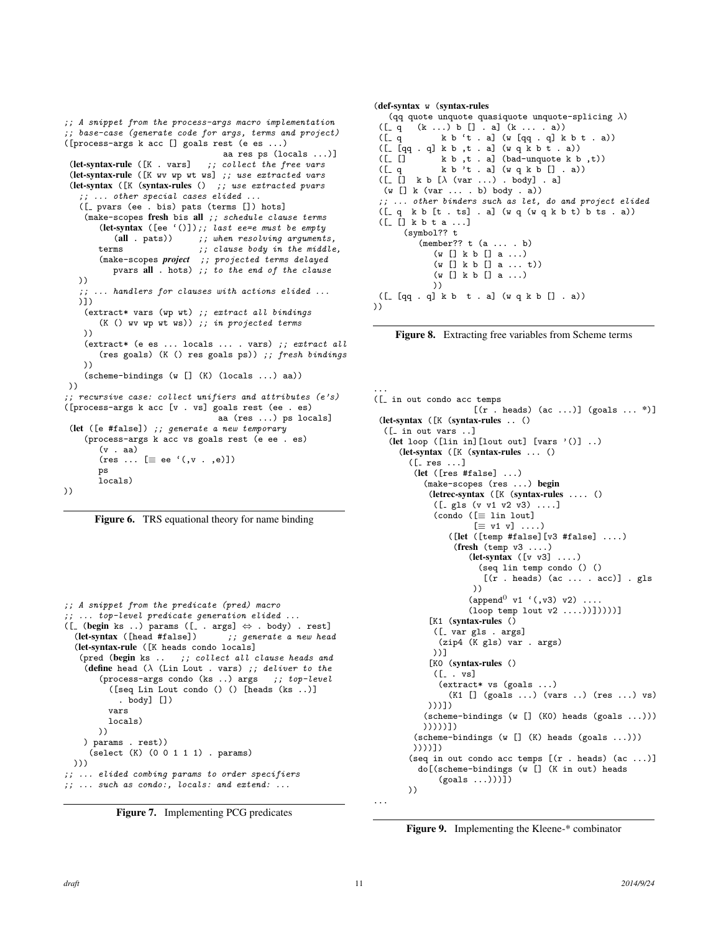```
;; A snippet from the process-args macro implementation
;; base-case (generate code for args, terms and project)
([process-args k acc [] goals rest (e es ...)
                                    aa res ps (locals ...)]
 (let-syntax-rule ([K . vars] ;; collect the free vars
 (let-syntax-rule ([K wv wp wt ws] ;; use extracted vars
 (let-syntax ([K (syntax-rules () ;; use extracted pvars
    ;; ... other special cases elided ...
   ([ pvars (ee . bis) pats (terms []) hots]
    (make-scopes fresh bis all ;; schedule clause terms
        (let-syntax ([ee '()]);; last ee=e must be empty<br>(all . pats)) ;; when resolving argument.
        (all . pats)) \qquad;; when resolving arguments,<br>terms \qquad \qquad \therefore clause body in the middle
                              : c \in \mathcal{L} clause body in the middle,
        (make-scopes project ;; projected terms delayed
           pvars all . hots) ;; to the end of the clause
   ))
   ;; ... handlers for clauses with actions elided ...
   )])
    (extract* vars (wp wt) ;; extract all bindings
        (K () wv wp wt ws)) ;; in projected terms
    ))
    (extract* (e es ... locals ... . vars) ;; extract all
        (res goals) (K () res goals ps)) ;; fresh bindings
    ))
    (scheme-bindings (w [] (K) (locals ...) aa))
 ))
 ;; recursive case: collect unifiers and attributes (e's)
([process-args k acc [v . vs] goals rest (ee . es)
                                   aa (res ...) ps locals]
 (let ([e #false]) ;; generate a new temporary
    (process-args k acc vs goals rest (e ee . es)
        (v . aa)
        (res \dots \equiv ee '(, v . , e)])ps
        locals)
))
```


```
;; A snippet from the predicate (pred) macro
;; ... top-level predicate generation elided ...
([ (begin ks ..) params ([ . args] \Leftrightarrow . body) . rest]
  (let-syntax ([head #false]) ;; generate a new head
  (let-syntax-rule ([K heads condo locals]
   (pred (begin ks .. ;; collect all clause heads and
   (define head (\lambda) (Lin Lout . vars) ;; deliver to the
       (process-args condo (ks ...) args ;; top-level([seq Lin Lout condo () () [heads (ks ..)]
           . body] [])
         vars
        locals)
      ))
   ) params . rest))
     (select (K) (0 0 1 1 1) . params)
 )))
;; ... elided combing params to order specifiers
;; ... such as condo:, locals: and extend: ...
```


#### (def-syntax w (syntax-rules (qq quote unquote quasiquote unquote-splicing  $\lambda$ )  $([-q (k ...) b [] . a] (k ... a))$  $(\begin{bmatrix} 0 & \alpha & \beta & \alpha \\ \alpha & \alpha & \beta & \beta \end{bmatrix} \begin{bmatrix} 0 & \alpha & \alpha \\ \alpha & \alpha & \beta \end{bmatrix} \begin{bmatrix} 0 & \alpha & \alpha \\ \alpha & \alpha & \beta \end{bmatrix} \begin{bmatrix} 0 & \alpha & \alpha \\ \alpha & \alpha & \beta \end{bmatrix} \begin{bmatrix} 0 & \alpha & \alpha \\ \alpha & \alpha & \alpha \end{bmatrix}$  $([- [qq q q] k b , t a] (w q k b t a))$  $\begin{array}{lll} ({\tt [\tt [\tt [\tt ]\tt ]} & k\;b\;,t\;.\;a) \text{ (bad–unquote k b },t)) \\ ({\tt [\tt [\tt [\tt ]\tt ]} & k\;b\;{}^\prime t\;.\;a) \text{ (}w\;q\;k\;b\;[\tt ]\;.\;a)) \end{array}$  $k b 't . a] (w q k b [] . a)$  $([-[] k b [\lambda (var ...). body]. a]$ (w [] k (var ... . b) body . a)) ;; ... other binders such as let, do and project elided  $([q \ k b [t . ts] . a] (w q (w q k b t) b ts . a))$  $([-[] k b t a ...]$ (symbol?? t (member?? t (a ... . b) (w [] k b [] a ...) (w [] k b [] a ... t)) (w [] k b [] a ...) ))  $([- [qq q q] k b t a] (w q k b [] . a))$ ))

Figure 8. Extracting free variables from Scheme terms

```
...
([ in out condo acc temps
                     [(r . heads) (ac ...)] (goals ... *)]
 (let-syntax ([K (syntax-rules .. ()
  ([ in out vars ..]
   (let loop ([lin in][lout out] [vars '()] ..)
     (let-syntax ([K (syntax-rules ... ()
       ([- res ...](let ([res #false] ...)
          (make-scopes (res ...) begin
            (letrec-syntax ([K (syntax-rules .... ()
             ([-gls (v v1 v2 v3) ...](condo ([≡ lin lout]
                     \lceil \equiv v1 \, v \rceil \ldots \rceil([let ([temp #false][v3 #false] ....)
                 (fresh (temp v3 ....)
                    (let-syntax ([v v3] ....)
                      (seq lin temp condo () ()
                       [(r . heads) (ac ... . acc)] . gls
                     ))
                    (append<sup>0</sup> v1 '(0, v3) v2) ...
                    (loop temp lout v2 ....))]))))]
            [K1 (syntax-rules ()
            ([ var gls . args]
              (zip4 (K gls) var . args)
            ))]
            [K0 (syntax-rules ()
            ([- . vs](extract* vs (goals ...)
                (K1 [] (goals ...) (vars ..) (res ...) vs)
           )))])
          (scheme-bindings (w [] (K0) heads (goals ...)))
          )))))])
        (scheme-bindings (w [] (K) heads (goals ...)))
        ))))])
       (seq in out condo acc temps [(r . heads) (ac ...)]
         do[(scheme-bindings (w [] (K in out) heads
              (goals ...)))])
       ))
...
```
Figure 9. Implementing the Kleene-\* combinator